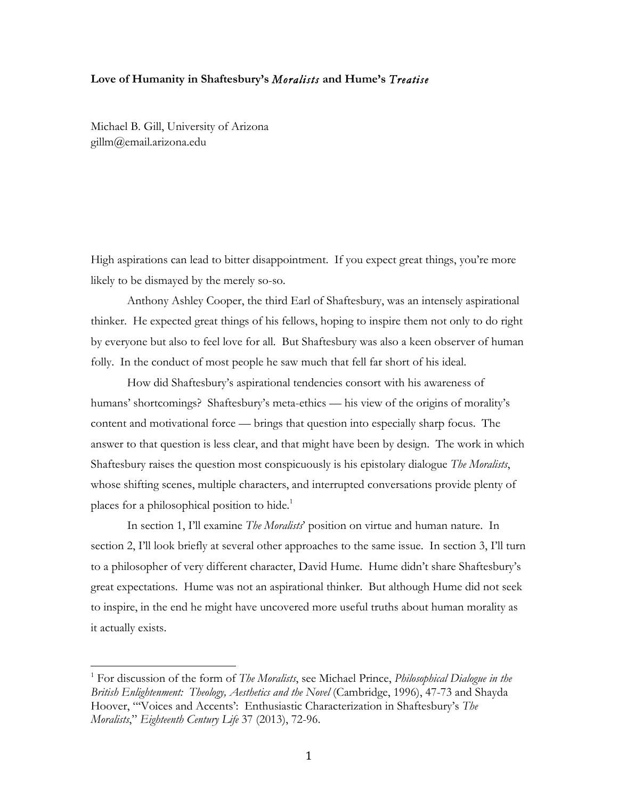## **Love of Humanity in Shaftesbury's** *Moralists* **and Hume's** *Treatise*

Michael B. Gill, University of Arizona gillm@email.arizona.edu

 

High aspirations can lead to bitter disappointment. If you expect great things, you're more likely to be dismayed by the merely so-so.

Anthony Ashley Cooper, the third Earl of Shaftesbury, was an intensely aspirational thinker. He expected great things of his fellows, hoping to inspire them not only to do right by everyone but also to feel love for all. But Shaftesbury was also a keen observer of human folly. In the conduct of most people he saw much that fell far short of his ideal.

How did Shaftesbury's aspirational tendencies consort with his awareness of humans' shortcomings? Shaftesbury's meta-ethics — his view of the origins of morality's content and motivational force — brings that question into especially sharp focus. The answer to that question is less clear, and that might have been by design. The work in which Shaftesbury raises the question most conspicuously is his epistolary dialogue *The Moralists*, whose shifting scenes, multiple characters, and interrupted conversations provide plenty of places for a philosophical position to hide.<sup>1</sup>

In section 1, I'll examine *The Moralists*' position on virtue and human nature. In section 2, I'll look briefly at several other approaches to the same issue. In section 3, I'll turn to a philosopher of very different character, David Hume. Hume didn't share Shaftesbury's great expectations. Hume was not an aspirational thinker. But although Hume did not seek to inspire, in the end he might have uncovered more useful truths about human morality as it actually exists.

<sup>1</sup> For discussion of the form of *The Moralists*, see Michael Prince, *Philosophical Dialogue in the British Enlightenment: Theology, Aesthetics and the Novel* (Cambridge, 1996), 47-73 and Shayda Hoover, "'Voices and Accents': Enthusiastic Characterization in Shaftesbury's *The Moralists*," *Eighteenth Century Life* 37 (2013), 72-96.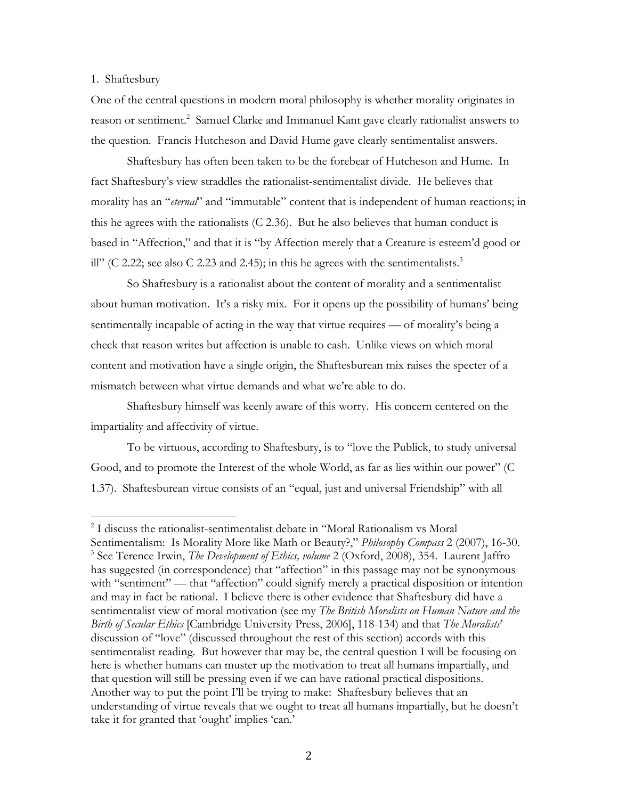## 1. Shaftesbury

 

One of the central questions in modern moral philosophy is whether morality originates in reason or sentiment.<sup>2</sup> Samuel Clarke and Immanuel Kant gave clearly rationalist answers to the question. Francis Hutcheson and David Hume gave clearly sentimentalist answers.

Shaftesbury has often been taken to be the forebear of Hutcheson and Hume. In fact Shaftesbury's view straddles the rationalist-sentimentalist divide. He believes that morality has an "*eternal*" and "immutable" content that is independent of human reactions; in this he agrees with the rationalists (C 2.36). But he also believes that human conduct is based in "Affection," and that it is "by Affection merely that a Creature is esteem'd good or ill" (C 2.22; see also C 2.23 and 2.45); in this he agrees with the sentimentalists.<sup>3</sup>

So Shaftesbury is a rationalist about the content of morality and a sentimentalist about human motivation. It's a risky mix. For it opens up the possibility of humans' being sentimentally incapable of acting in the way that virtue requires — of morality's being a check that reason writes but affection is unable to cash. Unlike views on which moral content and motivation have a single origin, the Shaftesburean mix raises the specter of a mismatch between what virtue demands and what we're able to do.

Shaftesbury himself was keenly aware of this worry. His concern centered on the impartiality and affectivity of virtue.

To be virtuous, according to Shaftesbury, is to "love the Publick, to study universal Good, and to promote the Interest of the whole World, as far as lies within our power" (C 1.37). Shaftesburean virtue consists of an "equal, just and universal Friendship" with all

<sup>2</sup> I discuss the rationalist-sentimentalist debate in "Moral Rationalism vs Moral Sentimentalism: Is Morality More like Math or Beauty?," *Philosophy Compass* 2 (2007), 16-30. <sup>3</sup> See Terence Irwin, *The Development of Ethics, volume* 2 (Oxford, 2008), 354. Laurent Jaffro has suggested (in correspondence) that "affection" in this passage may not be synonymous with "sentiment" — that "affection" could signify merely a practical disposition or intention and may in fact be rational. I believe there is other evidence that Shaftesbury did have a sentimentalist view of moral motivation (see my *The British Moralists on Human Nature and the Birth of Secular Ethics* [Cambridge University Press, 2006], 118-134) and that *The Moralists*' discussion of "love" (discussed throughout the rest of this section) accords with this sentimentalist reading. But however that may be, the central question I will be focusing on here is whether humans can muster up the motivation to treat all humans impartially, and that question will still be pressing even if we can have rational practical dispositions. Another way to put the point I'll be trying to make: Shaftesbury believes that an understanding of virtue reveals that we ought to treat all humans impartially, but he doesn't take it for granted that 'ought' implies 'can.'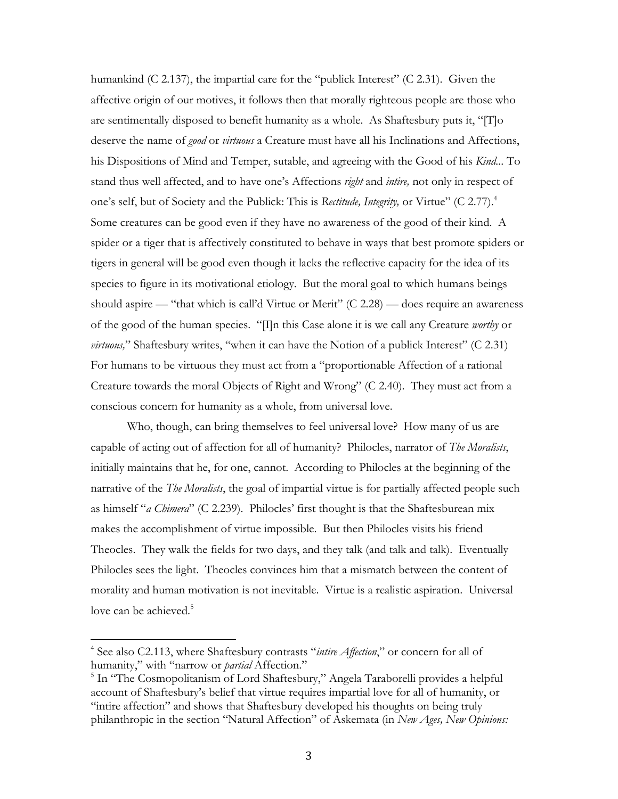humankind (C 2.137), the impartial care for the "publick Interest" (C 2.31). Given the affective origin of our motives, it follows then that morally righteous people are those who are sentimentally disposed to benefit humanity as a whole. As Shaftesbury puts it, "[T]o deserve the name of *good* or *virtuous* a Creature must have all his Inclinations and Affections, his Dispositions of Mind and Temper, sutable, and agreeing with the Good of his *Kind..*. To stand thus well affected, and to have one's Affections *right* and *intire,* not only in respect of one's self, but of Society and the Publick: This is *Rectitude, Integrity,* or Virtue" (C 2.77).4 Some creatures can be good even if they have no awareness of the good of their kind. A spider or a tiger that is affectively constituted to behave in ways that best promote spiders or tigers in general will be good even though it lacks the reflective capacity for the idea of its species to figure in its motivational etiology. But the moral goal to which humans beings should aspire — "that which is call'd Virtue or Merit" (C 2.28) — does require an awareness of the good of the human species. "[I]n this Case alone it is we call any Creature *worthy* or *virtuous,*" Shaftesbury writes, "when it can have the Notion of a publick Interest" (C 2.31) For humans to be virtuous they must act from a "proportionable Affection of a rational Creature towards the moral Objects of Right and Wrong" (C 2.40). They must act from a conscious concern for humanity as a whole, from universal love.

Who, though, can bring themselves to feel universal love? How many of us are capable of acting out of affection for all of humanity? Philocles, narrator of *The Moralists*, initially maintains that he, for one, cannot. According to Philocles at the beginning of the narrative of the *The Moralists*, the goal of impartial virtue is for partially affected people such as himself "*a Chimera*" (C 2.239). Philocles' first thought is that the Shaftesburean mix makes the accomplishment of virtue impossible. But then Philocles visits his friend Theocles. They walk the fields for two days, and they talk (and talk and talk). Eventually Philocles sees the light. Theocles convinces him that a mismatch between the content of morality and human motivation is not inevitable. Virtue is a realistic aspiration. Universal love can be achieved.<sup>5</sup>

<sup>4</sup> See also C2.113, where Shaftesbury contrasts "*intire Affection*," or concern for all of humanity," with "narrow or *partial* Affection."

<sup>&</sup>lt;sup>5</sup> In "The Cosmopolitanism of Lord Shaftesbury," Angela Taraborelli provides a helpful account of Shaftesbury's belief that virtue requires impartial love for all of humanity, or "intire affection" and shows that Shaftesbury developed his thoughts on being truly philanthropic in the section "Natural Affection" of Askemata (in *New Ages, New Opinions:*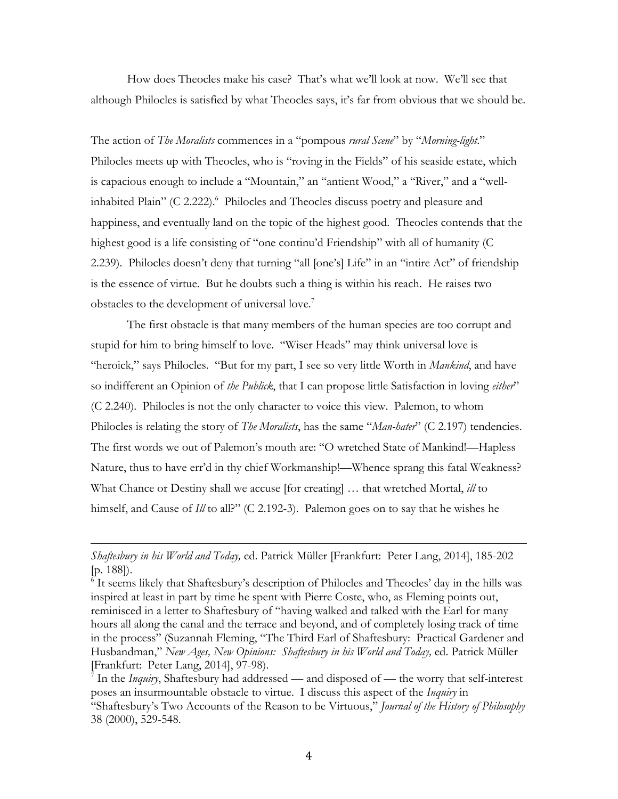How does Theocles make his case? That's what we'll look at now. We'll see that although Philocles is satisfied by what Theocles says, it's far from obvious that we should be.

The action of *The Moralists* commences in a "pompous *rural Scene*" by "*Morning-light*." Philocles meets up with Theocles, who is "roving in the Fields" of his seaside estate, which is capacious enough to include a "Mountain," an "antient Wood," a "River," and a "wellinhabited Plain" (C 2.222).<sup>6</sup> Philocles and Theocles discuss poetry and pleasure and happiness, and eventually land on the topic of the highest good. Theocles contends that the highest good is a life consisting of "one continu'd Friendship" with all of humanity (C 2.239). Philocles doesn't deny that turning "all [one's] Life" in an "intire Act" of friendship is the essence of virtue. But he doubts such a thing is within his reach. He raises two obstacles to the development of universal love.<sup>7</sup>

The first obstacle is that many members of the human species are too corrupt and stupid for him to bring himself to love. "Wiser Heads" may think universal love is "heroick," says Philocles. "But for my part, I see so very little Worth in *Mankind*, and have so indifferent an Opinion of *the Publick*, that I can propose little Satisfaction in loving *either*" (C 2.240). Philocles is not the only character to voice this view. Palemon, to whom Philocles is relating the story of *The Moralists*, has the same "*Man-hater*" (C 2.197) tendencies. The first words we out of Palemon's mouth are: "O wretched State of Mankind!—Hapless Nature, thus to have err'd in thy chief Workmanship!—Whence sprang this fatal Weakness? What Chance or Destiny shall we accuse [for creating] … that wretched Mortal, *ill* to himself, and Cause of *Ill* to all?" (C 2.192-3). Palemon goes on to say that he wishes he

<u> 1989 - Andrea San Andrea San Andrea San Andrea San Andrea San Andrea San Andrea San Andrea San Andrea San An</u>

*Shaftesbury in his World and Today,* ed. Patrick Müller [Frankfurt: Peter Lang, 2014], 185-202 [p. 188]).

<sup>6</sup> It seems likely that Shaftesbury's description of Philocles and Theocles' day in the hills was inspired at least in part by time he spent with Pierre Coste, who, as Fleming points out, reminisced in a letter to Shaftesbury of "having walked and talked with the Earl for many hours all along the canal and the terrace and beyond, and of completely losing track of time in the process" (Suzannah Fleming, "The Third Earl of Shaftesbury: Practical Gardener and Husbandman," *New Ages, New Opinions: Shaftesbury in his World and Today*, ed. Patrick Müller [Frankfurt: Peter Lang, 2014], 97-98).

<sup>&</sup>lt;sup>7</sup> In the *Inquiry*, Shaftesbury had addressed — and disposed of — the worry that self-interest poses an insurmountable obstacle to virtue. I discuss this aspect of the *Inquiry* in "Shaftesbury's Two Accounts of the Reason to be Virtuous," *Journal of the History of Philosophy* 38 (2000), 529-548.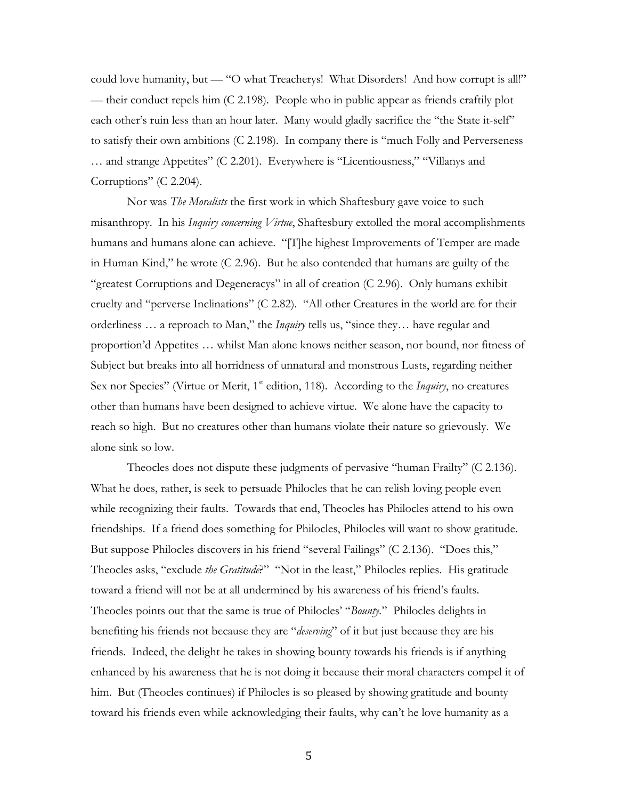could love humanity, but — "O what Treacherys! What Disorders! And how corrupt is all!" — their conduct repels him (C 2.198). People who in public appear as friends craftily plot each other's ruin less than an hour later. Many would gladly sacrifice the "the State it-self" to satisfy their own ambitions (C 2.198). In company there is "much Folly and Perverseness … and strange Appetites" (C 2.201). Everywhere is "Licentiousness," "Villanys and Corruptions" (C 2.204).

Nor was *The Moralists* the first work in which Shaftesbury gave voice to such misanthropy. In his *Inquiry concerning Virtue*, Shaftesbury extolled the moral accomplishments humans and humans alone can achieve. "[T]he highest Improvements of Temper are made in Human Kind," he wrote (C 2.96). But he also contended that humans are guilty of the "greatest Corruptions and Degeneracys" in all of creation (C 2.96). Only humans exhibit cruelty and "perverse Inclinations" (C 2.82). "All other Creatures in the world are for their orderliness … a reproach to Man," the *Inquiry* tells us, "since they… have regular and proportion'd Appetites … whilst Man alone knows neither season, nor bound, nor fitness of Subject but breaks into all horridness of unnatural and monstrous Lusts, regarding neither Sex nor Species" (Virtue or Merit, 1<sup>st</sup> edition, 118). According to the *Inquiry*, no creatures other than humans have been designed to achieve virtue. We alone have the capacity to reach so high. But no creatures other than humans violate their nature so grievously. We alone sink so low.

Theocles does not dispute these judgments of pervasive "human Frailty" (C 2.136). What he does, rather, is seek to persuade Philocles that he can relish loving people even while recognizing their faults. Towards that end, Theocles has Philocles attend to his own friendships. If a friend does something for Philocles, Philocles will want to show gratitude. But suppose Philocles discovers in his friend "several Failings" (C 2.136). "Does this," Theocles asks, "exclude *the Gratitude*?" "Not in the least," Philocles replies. His gratitude toward a friend will not be at all undermined by his awareness of his friend's faults. Theocles points out that the same is true of Philocles' "*Bounty.*" Philocles delights in benefiting his friends not because they are "*deserving*" of it but just because they are his friends. Indeed, the delight he takes in showing bounty towards his friends is if anything enhanced by his awareness that he is not doing it because their moral characters compel it of him. But (Theocles continues) if Philocles is so pleased by showing gratitude and bounty toward his friends even while acknowledging their faults, why can't he love humanity as a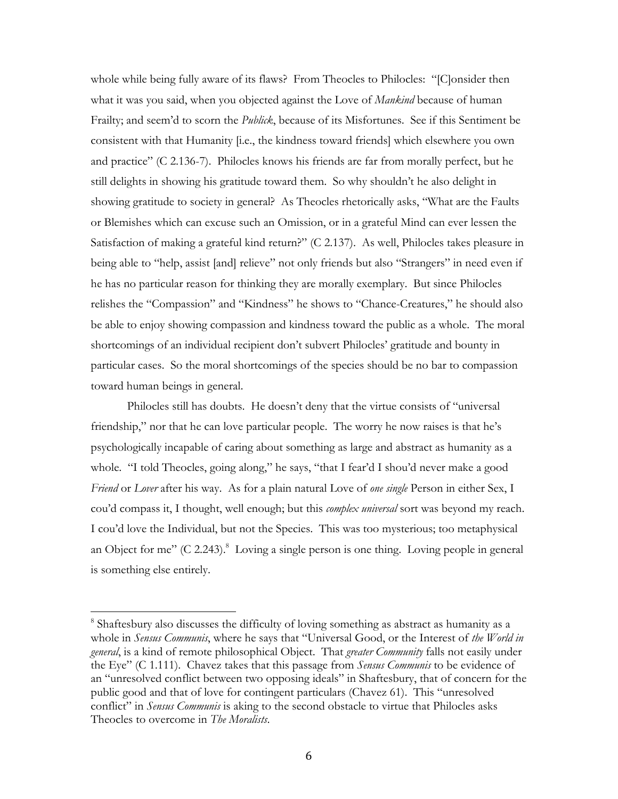whole while being fully aware of its flaws? From Theocles to Philocles: "[C]onsider then what it was you said, when you objected against the Love of *Mankind* because of human Frailty; and seem'd to scorn the *Publick*, because of its Misfortunes. See if this Sentiment be consistent with that Humanity [i.e., the kindness toward friends] which elsewhere you own and practice" (C 2.136-7). Philocles knows his friends are far from morally perfect, but he still delights in showing his gratitude toward them. So why shouldn't he also delight in showing gratitude to society in general? As Theocles rhetorically asks, "What are the Faults or Blemishes which can excuse such an Omission, or in a grateful Mind can ever lessen the Satisfaction of making a grateful kind return?" (C 2.137). As well, Philocles takes pleasure in being able to "help, assist [and] relieve" not only friends but also "Strangers" in need even if he has no particular reason for thinking they are morally exemplary. But since Philocles relishes the "Compassion" and "Kindness" he shows to "Chance-Creatures," he should also be able to enjoy showing compassion and kindness toward the public as a whole. The moral shortcomings of an individual recipient don't subvert Philocles' gratitude and bounty in particular cases. So the moral shortcomings of the species should be no bar to compassion toward human beings in general.

Philocles still has doubts. He doesn't deny that the virtue consists of "universal friendship," nor that he can love particular people. The worry he now raises is that he's psychologically incapable of caring about something as large and abstract as humanity as a whole. "I told Theocles, going along," he says, "that I fear'd I shou'd never make a good *Friend* or *Lover* after his way. As for a plain natural Love of *one single* Person in either Sex, I cou'd compass it, I thought, well enough; but this *complex universal* sort was beyond my reach. I cou'd love the Individual, but not the Species. This was too mysterious; too metaphysical an Object for me"  $(C \ 2.243)$ .<sup>8</sup> Loving a single person is one thing. Loving people in general is something else entirely.

<sup>8</sup> Shaftesbury also discusses the difficulty of loving something as abstract as humanity as a whole in *Sensus Communis*, where he says that "Universal Good, or the Interest of *the World in general*, is a kind of remote philosophical Object. That *greater Community* falls not easily under the Eye" (C 1.111). Chavez takes that this passage from *Sensus Communis* to be evidence of an "unresolved conflict between two opposing ideals" in Shaftesbury, that of concern for the public good and that of love for contingent particulars (Chavez 61). This "unresolved conflict" in *Sensus Communis* is aking to the second obstacle to virtue that Philocles asks Theocles to overcome in *The Moralists*.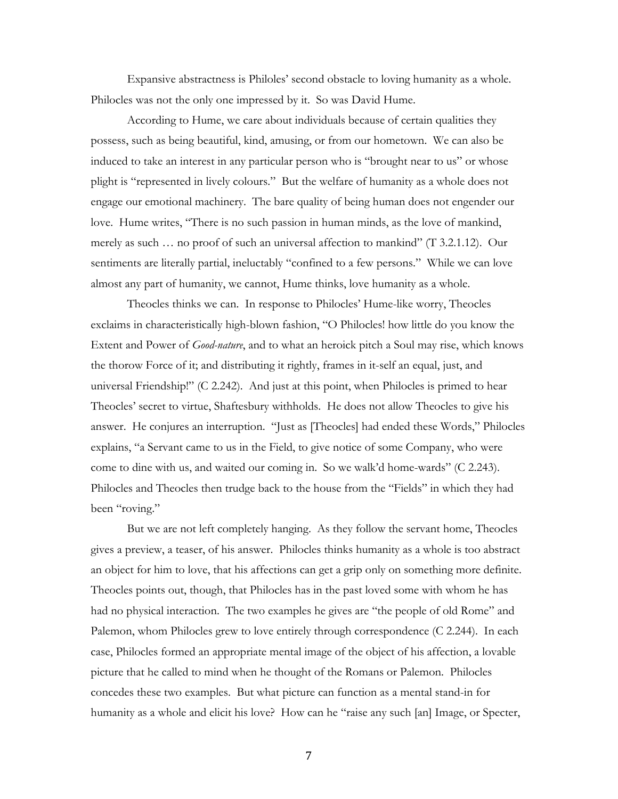Expansive abstractness is Philoles' second obstacle to loving humanity as a whole. Philocles was not the only one impressed by it. So was David Hume.

According to Hume, we care about individuals because of certain qualities they possess, such as being beautiful, kind, amusing, or from our hometown. We can also be induced to take an interest in any particular person who is "brought near to us" or whose plight is "represented in lively colours." But the welfare of humanity as a whole does not engage our emotional machinery. The bare quality of being human does not engender our love. Hume writes, "There is no such passion in human minds, as the love of mankind, merely as such … no proof of such an universal affection to mankind" (T 3.2.1.12). Our sentiments are literally partial, ineluctably "confined to a few persons." While we can love almost any part of humanity, we cannot, Hume thinks, love humanity as a whole.

Theocles thinks we can. In response to Philocles' Hume-like worry, Theocles exclaims in characteristically high-blown fashion, "O Philocles! how little do you know the Extent and Power of *Good-nature*, and to what an heroick pitch a Soul may rise, which knows the thorow Force of it; and distributing it rightly, frames in it-self an equal, just, and universal Friendship!" (C 2.242). And just at this point, when Philocles is primed to hear Theocles' secret to virtue, Shaftesbury withholds. He does not allow Theocles to give his answer. He conjures an interruption. "Just as [Theocles] had ended these Words," Philocles explains, "a Servant came to us in the Field, to give notice of some Company, who were come to dine with us, and waited our coming in. So we walk'd home-wards" (C 2.243). Philocles and Theocles then trudge back to the house from the "Fields" in which they had been "roving."

But we are not left completely hanging. As they follow the servant home, Theocles gives a preview, a teaser, of his answer. Philocles thinks humanity as a whole is too abstract an object for him to love, that his affections can get a grip only on something more definite. Theocles points out, though, that Philocles has in the past loved some with whom he has had no physical interaction. The two examples he gives are "the people of old Rome" and Palemon, whom Philocles grew to love entirely through correspondence (C 2.244). In each case, Philocles formed an appropriate mental image of the object of his affection, a lovable picture that he called to mind when he thought of the Romans or Palemon. Philocles concedes these two examples. But what picture can function as a mental stand-in for humanity as a whole and elicit his love? How can he "raise any such [an] Image, or Specter,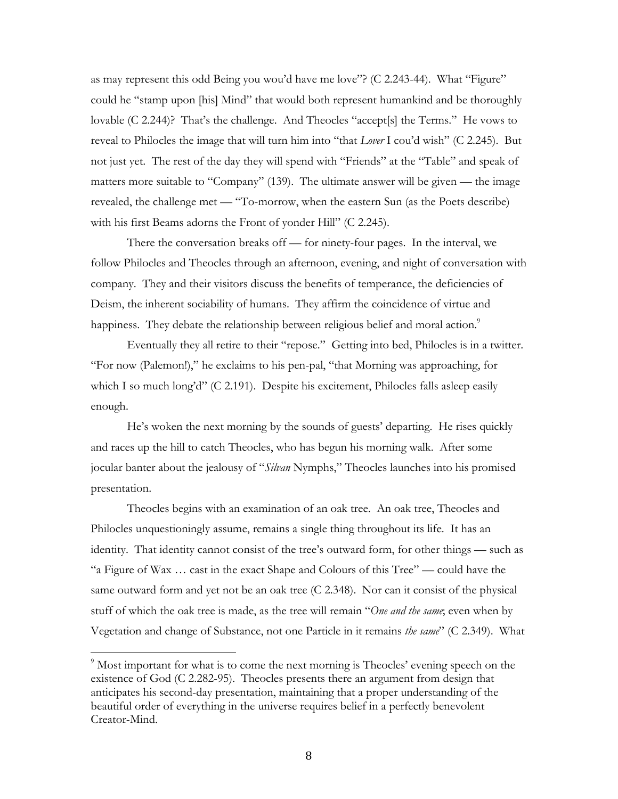as may represent this odd Being you wou'd have me love"? (C 2.243-44). What "Figure" could he "stamp upon [his] Mind" that would both represent humankind and be thoroughly lovable (C 2.244)? That's the challenge. And Theocles "accept[s] the Terms." He vows to reveal to Philocles the image that will turn him into "that *Lover* I cou'd wish" (C 2.245). But not just yet. The rest of the day they will spend with "Friends" at the "Table" and speak of matters more suitable to "Company" (139). The ultimate answer will be given — the image revealed, the challenge met — "To-morrow, when the eastern Sun (as the Poets describe) with his first Beams adorns the Front of yonder Hill" (C 2.245).

There the conversation breaks off — for ninety-four pages. In the interval, we follow Philocles and Theocles through an afternoon, evening, and night of conversation with company. They and their visitors discuss the benefits of temperance, the deficiencies of Deism, the inherent sociability of humans. They affirm the coincidence of virtue and happiness. They debate the relationship between religious belief and moral action.<sup>9</sup>

Eventually they all retire to their "repose." Getting into bed, Philocles is in a twitter. "For now (Palemon!)," he exclaims to his pen-pal, "that Morning was approaching, for which I so much long'd" (C 2.191). Despite his excitement, Philocles falls asleep easily enough.

He's woken the next morning by the sounds of guests' departing. He rises quickly and races up the hill to catch Theocles, who has begun his morning walk. After some jocular banter about the jealousy of "*Silvan* Nymphs," Theocles launches into his promised presentation.

Theocles begins with an examination of an oak tree. An oak tree, Theocles and Philocles unquestioningly assume, remains a single thing throughout its life. It has an identity. That identity cannot consist of the tree's outward form, for other things — such as "a Figure of Wax … cast in the exact Shape and Colours of this Tree" — could have the same outward form and yet not be an oak tree (C 2.348). Nor can it consist of the physical stuff of which the oak tree is made, as the tree will remain "*One and the same*; even when by Vegetation and change of Substance, not one Particle in it remains *the same*" (C 2.349). What

<sup>&</sup>lt;sup>9</sup> Most important for what is to come the next morning is Theocles' evening speech on the existence of God (C 2.282-95). Theocles presents there an argument from design that anticipates his second-day presentation, maintaining that a proper understanding of the beautiful order of everything in the universe requires belief in a perfectly benevolent Creator-Mind.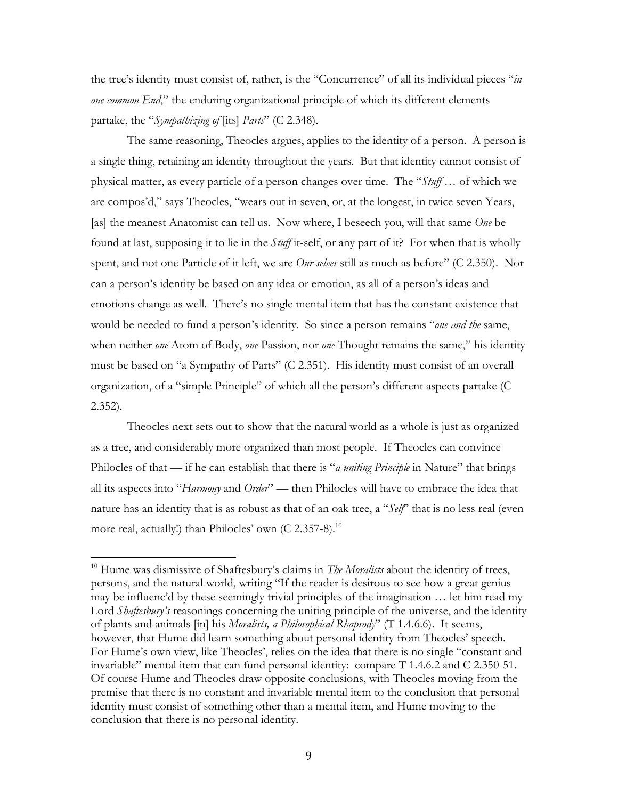the tree's identity must consist of, rather, is the "Concurrence" of all its individual pieces "*in one common End*," the enduring organizational principle of which its different elements partake, the "*Sympathizing of* [its] *Parts*" (C 2.348).

The same reasoning, Theocles argues, applies to the identity of a person. A person is a single thing, retaining an identity throughout the years. But that identity cannot consist of physical matter, as every particle of a person changes over time. The "*Stuff* … of which we are compos'd," says Theocles, "wears out in seven, or, at the longest, in twice seven Years, [as] the meanest Anatomist can tell us. Now where, I beseech you, will that same *One* be found at last, supposing it to lie in the *Stuff* it-self, or any part of it? For when that is wholly spent, and not one Particle of it left, we are *Our-selves* still as much as before" (C 2.350). Nor can a person's identity be based on any idea or emotion, as all of a person's ideas and emotions change as well. There's no single mental item that has the constant existence that would be needed to fund a person's identity. So since a person remains "*one and the* same, when neither *one* Atom of Body, *one* Passion, nor *one* Thought remains the same," his identity must be based on "a Sympathy of Parts" (C 2.351). His identity must consist of an overall organization, of a "simple Principle" of which all the person's different aspects partake (C 2.352).

Theocles next sets out to show that the natural world as a whole is just as organized as a tree, and considerably more organized than most people. If Theocles can convince Philocles of that — if he can establish that there is "*a uniting Principle* in Nature" that brings all its aspects into "*Harmony* and *Order*" — then Philocles will have to embrace the idea that nature has an identity that is as robust as that of an oak tree, a "*Self*" that is no less real (even more real, actually!) than Philocles' own (C 2.357-8).<sup>10</sup>

<sup>&</sup>lt;sup>10</sup> Hume was dismissive of Shaftesbury's claims in *The Moralists* about the identity of trees, persons, and the natural world, writing "If the reader is desirous to see how a great genius may be influenc'd by these seemingly trivial principles of the imagination … let him read my Lord *Shaftesbury's* reasonings concerning the uniting principle of the universe, and the identity of plants and animals [in] his *Moralists, a Philosophical Rhapsody*" (T 1.4.6.6). It seems, however, that Hume did learn something about personal identity from Theocles' speech. For Hume's own view, like Theocles', relies on the idea that there is no single "constant and invariable" mental item that can fund personal identity: compare T 1.4.6.2 and C 2.350-51. Of course Hume and Theocles draw opposite conclusions, with Theocles moving from the premise that there is no constant and invariable mental item to the conclusion that personal identity must consist of something other than a mental item, and Hume moving to the conclusion that there is no personal identity.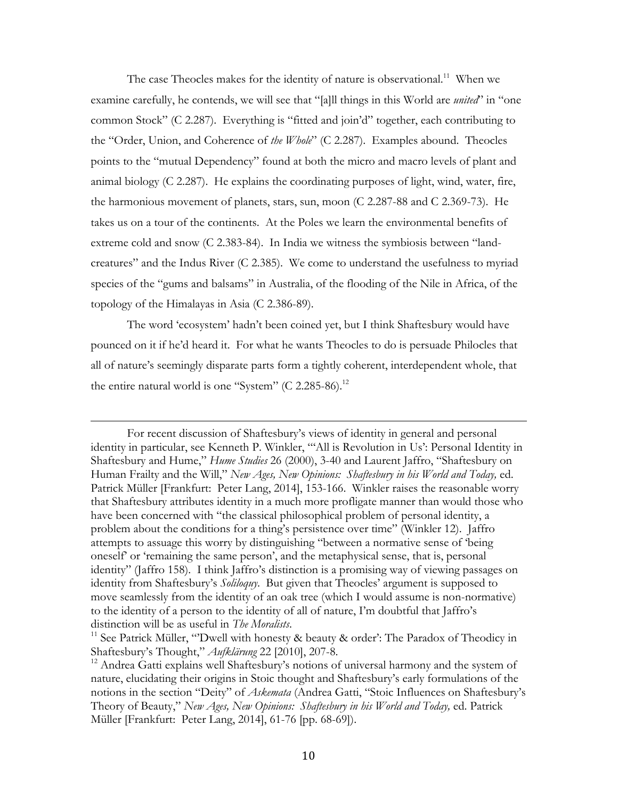The case Theocles makes for the identity of nature is observational.<sup>11</sup> When we examine carefully, he contends, we will see that "[a]ll things in this World are *united*" in "one common Stock" (C 2.287). Everything is "fitted and join'd" together, each contributing to the "Order, Union, and Coherence of *the Whole*" (C 2.287). Examples abound. Theocles points to the "mutual Dependency" found at both the micro and macro levels of plant and animal biology (C 2.287). He explains the coordinating purposes of light, wind, water, fire, the harmonious movement of planets, stars, sun, moon (C 2.287-88 and C 2.369-73). He takes us on a tour of the continents. At the Poles we learn the environmental benefits of extreme cold and snow (C 2.383-84). In India we witness the symbiosis between "landcreatures" and the Indus River (C 2.385). We come to understand the usefulness to myriad species of the "gums and balsams" in Australia, of the flooding of the Nile in Africa, of the topology of the Himalayas in Asia (C 2.386-89).

The word 'ecosystem' hadn't been coined yet, but I think Shaftesbury would have pounced on it if he'd heard it. For what he wants Theocles to do is persuade Philocles that all of nature's seemingly disparate parts form a tightly coherent, interdependent whole, that the entire natural world is one "System" (C 2.285-86).<sup>12</sup>

<u> 1989 - Andrea Santa Andrea Andrea Andrea Andrea Andrea Andrea Andrea Andrea Andrea Andrea Andrea Andrea Andr</u>

For recent discussion of Shaftesbury's views of identity in general and personal identity in particular, see Kenneth P. Winkler, "'All is Revolution in Us': Personal Identity in Shaftesbury and Hume," *Hume Studies* 26 (2000), 3-40 and Laurent Jaffro, "Shaftesbury on Human Frailty and the Will," *New Ages, New Opinions: Shaftesbury in his World and Today,* ed. Patrick Müller [Frankfurt: Peter Lang, 2014], 153-166. Winkler raises the reasonable worry that Shaftesbury attributes identity in a much more profligate manner than would those who have been concerned with "the classical philosophical problem of personal identity, a problem about the conditions for a thing's persistence over time" (Winkler 12). Jaffro attempts to assuage this worry by distinguishing "between a normative sense of 'being oneself' or 'remaining the same person', and the metaphysical sense, that is, personal identity" (Jaffro 158). I think Jaffro's distinction is a promising way of viewing passages on identity from Shaftesbury's *Soliloquy*. But given that Theocles' argument is supposed to move seamlessly from the identity of an oak tree (which I would assume is non-normative) to the identity of a person to the identity of all of nature, I'm doubtful that Jaffro's distinction will be as useful in *The Moralists*.

<sup>&</sup>lt;sup>11</sup> See Patrick Müller, "Dwell with honesty & beauty & order': The Paradox of Theodicy in Shaftesbury's Thought," *Aufklärung* 22 [2010], 207-8.

<sup>&</sup>lt;sup>12</sup> Andrea Gatti explains well Shaftesbury's notions of universal harmony and the system of nature, elucidating their origins in Stoic thought and Shaftesbury's early formulations of the notions in the section "Deity" of *Askemata* (Andrea Gatti, "Stoic Influences on Shaftesbury's Theory of Beauty," *New Ages, New Opinions: Shaftesbury in his World and Today,* ed. Patrick Müller [Frankfurt: Peter Lang, 2014], 61-76 [pp. 68-69]).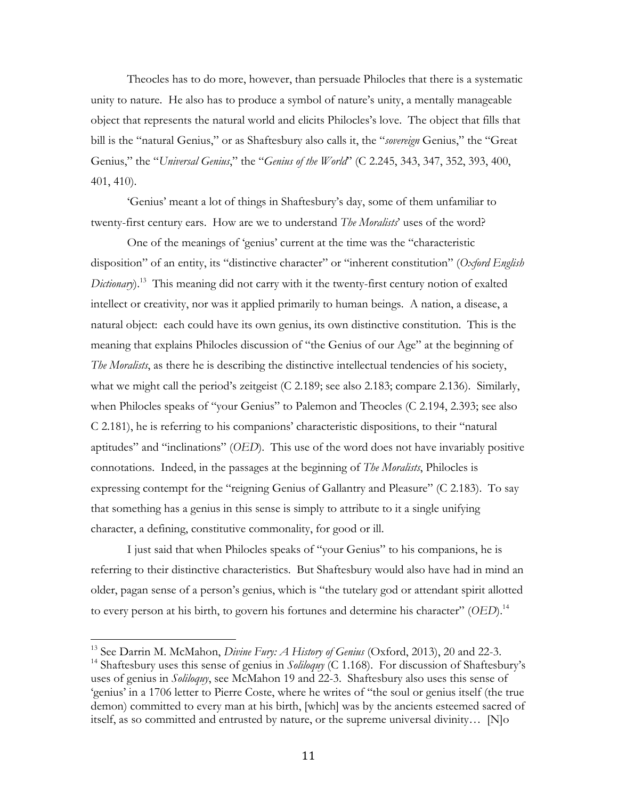Theocles has to do more, however, than persuade Philocles that there is a systematic unity to nature. He also has to produce a symbol of nature's unity, a mentally manageable object that represents the natural world and elicits Philocles's love. The object that fills that bill is the "natural Genius," or as Shaftesbury also calls it, the "*sovereign* Genius," the "Great Genius," the "*Universal Genius*," the "*Genius of the World*" (C 2.245, 343, 347, 352, 393, 400, 401, 410).

'Genius' meant a lot of things in Shaftesbury's day, some of them unfamiliar to twenty-first century ears. How are we to understand *The Moralists*' uses of the word?

One of the meanings of 'genius' current at the time was the "characteristic disposition" of an entity, its "distinctive character" or "inherent constitution" (*Oxford English Dictionary*).<sup>13</sup> This meaning did not carry with it the twenty-first century notion of exalted intellect or creativity, nor was it applied primarily to human beings. A nation, a disease, a natural object: each could have its own genius, its own distinctive constitution. This is the meaning that explains Philocles discussion of "the Genius of our Age" at the beginning of *The Moralists*, as there he is describing the distinctive intellectual tendencies of his society, what we might call the period's zeitgeist (C 2.189; see also 2.183; compare 2.136). Similarly, when Philocles speaks of "your Genius" to Palemon and Theocles (C 2.194, 2.393; see also C 2.181), he is referring to his companions' characteristic dispositions, to their "natural aptitudes" and "inclinations" (*OED*). This use of the word does not have invariably positive connotations. Indeed, in the passages at the beginning of *The Moralists*, Philocles is expressing contempt for the "reigning Genius of Gallantry and Pleasure" (C 2.183). To say that something has a genius in this sense is simply to attribute to it a single unifying character, a defining, constitutive commonality, for good or ill.

I just said that when Philocles speaks of "your Genius" to his companions, he is referring to their distinctive characteristics. But Shaftesbury would also have had in mind an older, pagan sense of a person's genius, which is "the tutelary god or attendant spirit allotted to every person at his birth, to govern his fortunes and determine his character" (*OED*).<sup>14</sup>

<sup>&</sup>lt;sup>13</sup> See Darrin M. McMahon, *Divine Fury: A History of Genius* (Oxford, 2013), 20 and 22-3.

<sup>&</sup>lt;sup>14</sup> Shaftesbury uses this sense of genius in *Soliloquy* (C 1.168). For discussion of Shaftesbury's uses of genius in *Soliloquy*, see McMahon 19 and 22-3. Shaftesbury also uses this sense of 'genius' in a 1706 letter to Pierre Coste, where he writes of "the soul or genius itself (the true demon) committed to every man at his birth, [which] was by the ancients esteemed sacred of itself, as so committed and entrusted by nature, or the supreme universal divinity… [N]o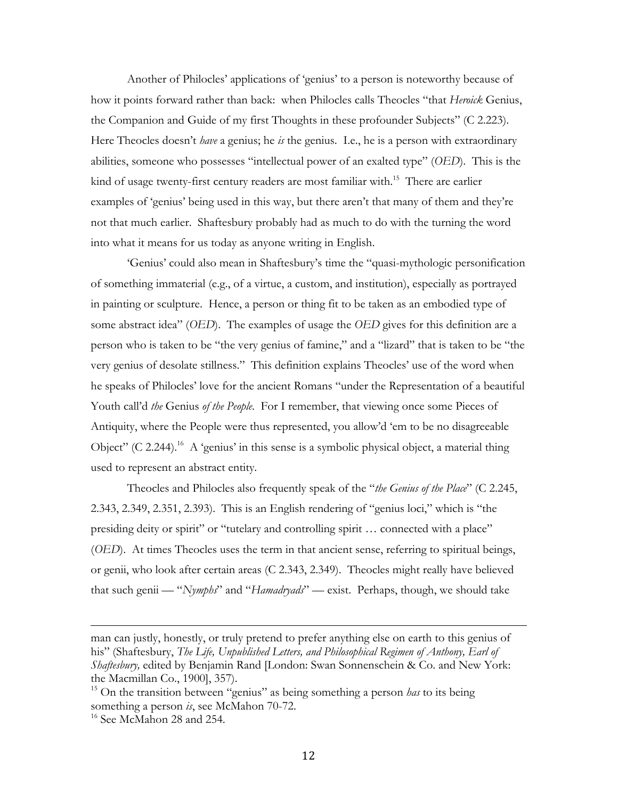Another of Philocles' applications of 'genius' to a person is noteworthy because of how it points forward rather than back: when Philocles calls Theocles "that *Heroick* Genius, the Companion and Guide of my first Thoughts in these profounder Subjects" (C 2.223). Here Theocles doesn't *have* a genius; he *is* the genius. I.e., he is a person with extraordinary abilities, someone who possesses "intellectual power of an exalted type" (*OED*). This is the kind of usage twenty-first century readers are most familiar with.<sup>15</sup> There are earlier examples of 'genius' being used in this way, but there aren't that many of them and they're not that much earlier. Shaftesbury probably had as much to do with the turning the word into what it means for us today as anyone writing in English.

'Genius' could also mean in Shaftesbury's time the "quasi-mythologic personification of something immaterial (e.g., of a virtue, a custom, and institution), especially as portrayed in painting or sculpture. Hence, a person or thing fit to be taken as an embodied type of some abstract idea" (*OED*). The examples of usage the *OED* gives for this definition are a person who is taken to be "the very genius of famine," and a "lizard" that is taken to be "the very genius of desolate stillness." This definition explains Theocles' use of the word when he speaks of Philocles' love for the ancient Romans "under the Representation of a beautiful Youth call'd *the* Genius *of the People*. For I remember, that viewing once some Pieces of Antiquity, where the People were thus represented, you allow'd 'em to be no disagreeable Object" (C 2.244).<sup>16</sup> A 'genius' in this sense is a symbolic physical object, a material thing used to represent an abstract entity.

Theocles and Philocles also frequently speak of the "*the Genius of the Place*" (C 2.245, 2.343, 2.349, 2.351, 2.393). This is an English rendering of "genius loci," which is "the presiding deity or spirit" or "tutelary and controlling spirit … connected with a place" (*OED*). At times Theocles uses the term in that ancient sense, referring to spiritual beings, or genii, who look after certain areas (C 2.343, 2.349). Theocles might really have believed that such genii — "*Nymphs*" and "*Hamadryads*" — exist. Perhaps, though, we should take

<u> 1989 - Andrea Santa Andrea Andrea Andrea Andrea Andrea Andrea Andrea Andrea Andrea Andrea Andrea Andrea Andr</u>

man can justly, honestly, or truly pretend to prefer anything else on earth to this genius of his" (Shaftesbury, *The Life, Unpublished Letters, and Philosophical Regimen of Anthony, Earl of Shaftesbury,* edited by Benjamin Rand [London: Swan Sonnenschein & Co. and New York: the Macmillan Co., 1900], 357).

<sup>15</sup> On the transition between "genius" as being something a person *has* to its being something a person *is*, see McMahon 70-72.

<sup>&</sup>lt;sup>16</sup> See McMahon 28 and 254.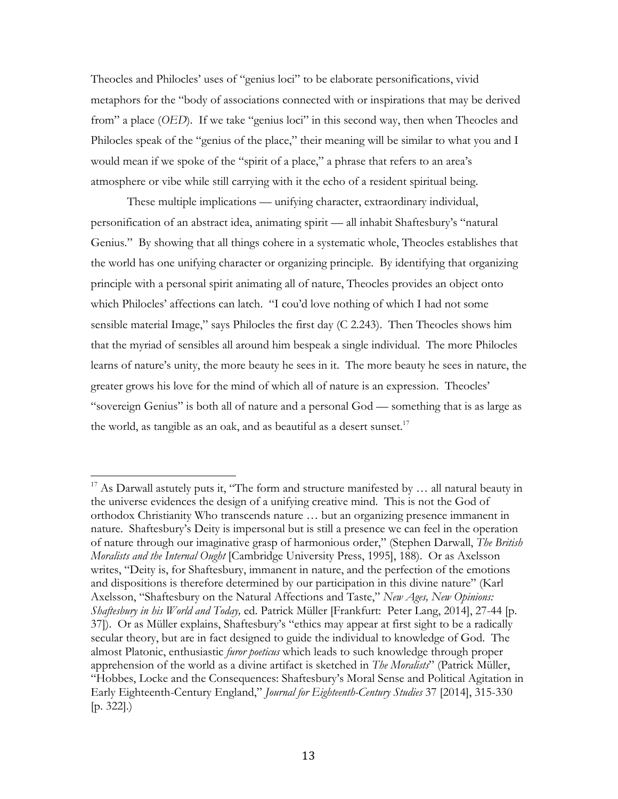Theocles and Philocles' uses of "genius loci" to be elaborate personifications, vivid metaphors for the "body of associations connected with or inspirations that may be derived from" a place (*OED*). If we take "genius loci" in this second way, then when Theocles and Philocles speak of the "genius of the place," their meaning will be similar to what you and I would mean if we spoke of the "spirit of a place," a phrase that refers to an area's atmosphere or vibe while still carrying with it the echo of a resident spiritual being.

These multiple implications — unifying character, extraordinary individual, personification of an abstract idea, animating spirit — all inhabit Shaftesbury's "natural Genius." By showing that all things cohere in a systematic whole, Theocles establishes that the world has one unifying character or organizing principle. By identifying that organizing principle with a personal spirit animating all of nature, Theocles provides an object onto which Philocles' affections can latch. "I cou'd love nothing of which I had not some sensible material Image," says Philocles the first day (C 2.243). Then Theocles shows him that the myriad of sensibles all around him bespeak a single individual. The more Philocles learns of nature's unity, the more beauty he sees in it. The more beauty he sees in nature, the greater grows his love for the mind of which all of nature is an expression. Theocles' "sovereign Genius" is both all of nature and a personal God — something that is as large as the world, as tangible as an oak, and as beautiful as a desert sunset.<sup>17</sup>

<sup>&</sup>lt;sup>17</sup> As Darwall astutely puts it, "The form and structure manifested by ... all natural beauty in the universe evidences the design of a unifying creative mind. This is not the God of orthodox Christianity Who transcends nature … but an organizing presence immanent in nature. Shaftesbury's Deity is impersonal but is still a presence we can feel in the operation of nature through our imaginative grasp of harmonious order," (Stephen Darwall, *The British Moralists and the Internal Ought* [Cambridge University Press, 1995], 188). Or as Axelsson writes, "Deity is, for Shaftesbury, immanent in nature, and the perfection of the emotions and dispositions is therefore determined by our participation in this divine nature" (Karl Axelsson, "Shaftesbury on the Natural Affections and Taste," *New Ages, New Opinions: Shaftesbury in his World and Today,* ed. Patrick Müller [Frankfurt: Peter Lang, 2014], 27-44 [p. 37]). Or as Müller explains, Shaftesbury's "ethics may appear at first sight to be a radically secular theory, but are in fact designed to guide the individual to knowledge of God. The almost Platonic, enthusiastic *furor poeticus* which leads to such knowledge through proper apprehension of the world as a divine artifact is sketched in *The Moralists*" (Patrick Müller, "Hobbes, Locke and the Consequences: Shaftesbury's Moral Sense and Political Agitation in Early Eighteenth-Century England," *Journal for Eighteenth-Century Studies* 37 [2014], 315-330 [p. 322].)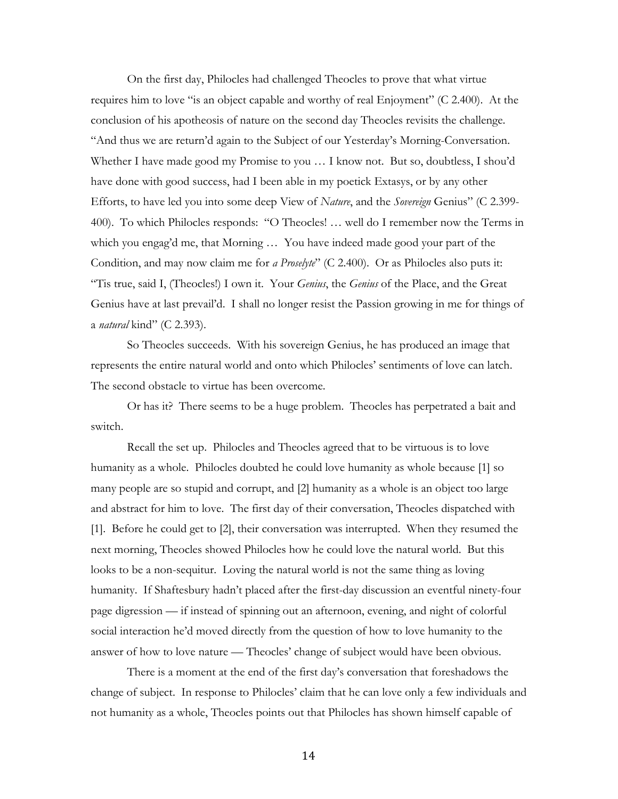On the first day, Philocles had challenged Theocles to prove that what virtue requires him to love "is an object capable and worthy of real Enjoyment" (C 2.400). At the conclusion of his apotheosis of nature on the second day Theocles revisits the challenge. "And thus we are return'd again to the Subject of our Yesterday's Morning-Conversation. Whether I have made good my Promise to you … I know not. But so, doubtless, I shou'd have done with good success, had I been able in my poetick Extasys, or by any other Efforts, to have led you into some deep View of *Nature*, and the *Sovereign* Genius" (C 2.399- 400). To which Philocles responds: "O Theocles! … well do I remember now the Terms in which you engag'd me, that Morning … You have indeed made good your part of the Condition, and may now claim me for *a Proselyte*" (C 2.400). Or as Philocles also puts it: "Tis true, said I, (Theocles!) I own it. Your *Genius*, the *Genius* of the Place, and the Great Genius have at last prevail'd. I shall no longer resist the Passion growing in me for things of a *natural* kind" (C 2.393).

So Theocles succeeds. With his sovereign Genius, he has produced an image that represents the entire natural world and onto which Philocles' sentiments of love can latch. The second obstacle to virtue has been overcome.

Or has it? There seems to be a huge problem. Theocles has perpetrated a bait and switch.

Recall the set up. Philocles and Theocles agreed that to be virtuous is to love humanity as a whole. Philocles doubted he could love humanity as whole because [1] so many people are so stupid and corrupt, and [2] humanity as a whole is an object too large and abstract for him to love. The first day of their conversation, Theocles dispatched with [1]. Before he could get to [2], their conversation was interrupted. When they resumed the next morning, Theocles showed Philocles how he could love the natural world. But this looks to be a non-sequitur. Loving the natural world is not the same thing as loving humanity. If Shaftesbury hadn't placed after the first-day discussion an eventful ninety-four page digression — if instead of spinning out an afternoon, evening, and night of colorful social interaction he'd moved directly from the question of how to love humanity to the answer of how to love nature — Theocles' change of subject would have been obvious.

There is a moment at the end of the first day's conversation that foreshadows the change of subject. In response to Philocles' claim that he can love only a few individuals and not humanity as a whole, Theocles points out that Philocles has shown himself capable of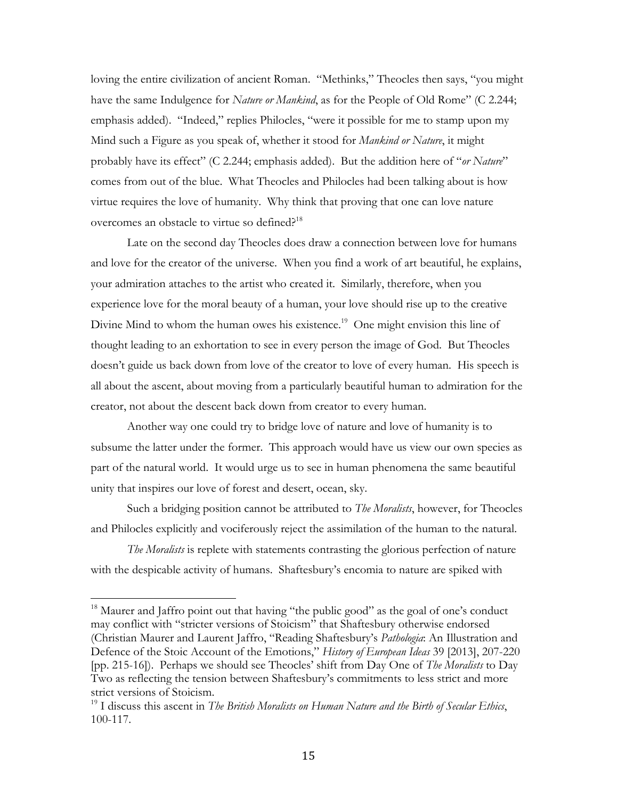loving the entire civilization of ancient Roman. "Methinks," Theocles then says, "you might have the same Indulgence for *Nature or Mankind*, as for the People of Old Rome" (C 2.244; emphasis added). "Indeed," replies Philocles, "were it possible for me to stamp upon my Mind such a Figure as you speak of, whether it stood for *Mankind or Nature*, it might probably have its effect" (C 2.244; emphasis added). But the addition here of "*or Nature*" comes from out of the blue. What Theocles and Philocles had been talking about is how virtue requires the love of humanity. Why think that proving that one can love nature overcomes an obstacle to virtue so defined?<sup>18</sup>

Late on the second day Theocles does draw a connection between love for humans and love for the creator of the universe. When you find a work of art beautiful, he explains, your admiration attaches to the artist who created it. Similarly, therefore, when you experience love for the moral beauty of a human, your love should rise up to the creative Divine Mind to whom the human owes his existence.<sup>19</sup> One might envision this line of thought leading to an exhortation to see in every person the image of God. But Theocles doesn't guide us back down from love of the creator to love of every human. His speech is all about the ascent, about moving from a particularly beautiful human to admiration for the creator, not about the descent back down from creator to every human.

Another way one could try to bridge love of nature and love of humanity is to subsume the latter under the former. This approach would have us view our own species as part of the natural world. It would urge us to see in human phenomena the same beautiful unity that inspires our love of forest and desert, ocean, sky.

Such a bridging position cannot be attributed to *The Moralists*, however, for Theocles and Philocles explicitly and vociferously reject the assimilation of the human to the natural.

*The Moralists* is replete with statements contrasting the glorious perfection of nature with the despicable activity of humans. Shaftesbury's encomia to nature are spiked with

<sup>&</sup>lt;sup>18</sup> Maurer and Jaffro point out that having "the public good" as the goal of one's conduct may conflict with "stricter versions of Stoicism" that Shaftesbury otherwise endorsed (Christian Maurer and Laurent Jaffro, "Reading Shaftesbury's *Pathologia*: An Illustration and Defence of the Stoic Account of the Emotions," *History of European Ideas* 39 [2013], 207-220 [pp. 215-16]). Perhaps we should see Theocles' shift from Day One of *The Moralists* to Day Two as reflecting the tension between Shaftesbury's commitments to less strict and more strict versions of Stoicism.

<sup>19</sup> I discuss this ascent in *The British Moralists on Human Nature and the Birth of Secular Ethics*, 100-117.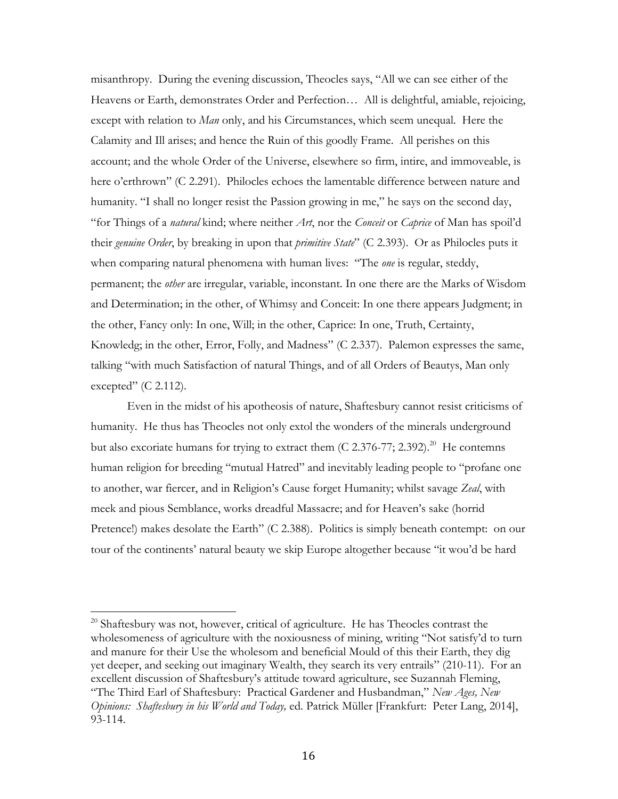misanthropy. During the evening discussion, Theocles says, "All we can see either of the Heavens or Earth, demonstrates Order and Perfection… All is delightful, amiable, rejoicing, except with relation to *Man* only, and his Circumstances, which seem unequal. Here the Calamity and Ill arises; and hence the Ruin of this goodly Frame. All perishes on this account; and the whole Order of the Universe, elsewhere so firm, intire, and immoveable, is here o'erthrown" (C 2.291). Philocles echoes the lamentable difference between nature and humanity. "I shall no longer resist the Passion growing in me," he says on the second day, "for Things of a *natural* kind; where neither *Art*, nor the *Conceit* or *Caprice* of Man has spoil'd their *genuine Order*, by breaking in upon that *primitive State*" (C 2.393). Or as Philocles puts it when comparing natural phenomena with human lives: "The *one* is regular, steddy, permanent; the *other* are irregular, variable, inconstant. In one there are the Marks of Wisdom and Determination; in the other, of Whimsy and Conceit: In one there appears Judgment; in the other, Fancy only: In one, Will; in the other, Caprice: In one, Truth, Certainty, Knowledg; in the other, Error, Folly, and Madness" (C 2.337). Palemon expresses the same, talking "with much Satisfaction of natural Things, and of all Orders of Beautys, Man only excepted"  $(C 2.112)$ .

Even in the midst of his apotheosis of nature, Shaftesbury cannot resist criticisms of humanity. He thus has Theocles not only extol the wonders of the minerals underground but also excoriate humans for trying to extract them  $(C 2.376-77; 2.392).^{20}$  He contemns human religion for breeding "mutual Hatred" and inevitably leading people to "profane one to another, war fiercer, and in Religion's Cause forget Humanity; whilst savage *Zeal*, with meek and pious Semblance, works dreadful Massacre; and for Heaven's sake (horrid Pretence!) makes desolate the Earth" (C 2.388). Politics is simply beneath contempt: on our tour of the continents' natural beauty we skip Europe altogether because "it wou'd be hard

 $^{20}$  Shaftesbury was not, however, critical of agriculture. He has Theocles contrast the wholesomeness of agriculture with the noxiousness of mining, writing "Not satisfy'd to turn and manure for their Use the wholesom and beneficial Mould of this their Earth, they dig yet deeper, and seeking out imaginary Wealth, they search its very entrails" (210-11). For an excellent discussion of Shaftesbury's attitude toward agriculture, see Suzannah Fleming, "The Third Earl of Shaftesbury: Practical Gardener and Husbandman," *New Ages, New Opinions: Shaftesbury in his World and Today,* ed. Patrick Müller [Frankfurt: Peter Lang, 2014], 93-114.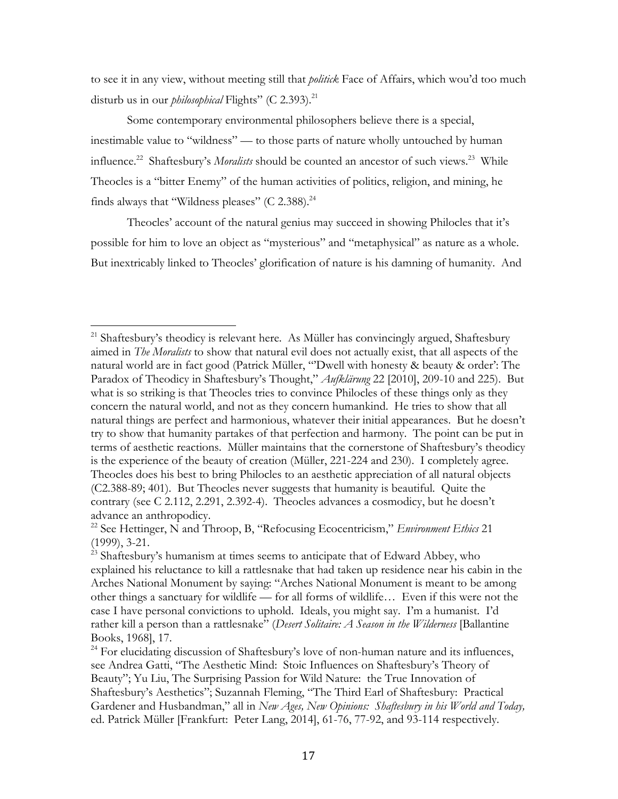to see it in any view, without meeting still that *politick* Face of Affairs, which wou'd too much disturb us in our *philosophical* Flights" (C 2.393).<sup>21</sup>

Some contemporary environmental philosophers believe there is a special, inestimable value to "wildness" — to those parts of nature wholly untouched by human influence.<sup>22</sup> Shaftesbury's *Moralists* should be counted an ancestor of such views.<sup>23</sup> While Theocles is a "bitter Enemy" of the human activities of politics, religion, and mining, he finds always that "Wildness pleases" (C 2.388). $^{24}$ 

Theocles' account of the natural genius may succeed in showing Philocles that it's possible for him to love an object as "mysterious" and "metaphysical" as nature as a whole. But inextricably linked to Theocles' glorification of nature is his damning of humanity. And

<sup>&</sup>lt;sup>21</sup> Shaftesbury's theodicy is relevant here. As Müller has convincingly argued, Shaftesbury aimed in *The Moralists* to show that natural evil does not actually exist, that all aspects of the natural world are in fact good (Patrick Müller, "'Dwell with honesty & beauty & order': The Paradox of Theodicy in Shaftesbury's Thought," *Aufklärung* 22 [2010], 209-10 and 225). But what is so striking is that Theocles tries to convince Philocles of these things only as they concern the natural world, and not as they concern humankind. He tries to show that all natural things are perfect and harmonious, whatever their initial appearances. But he doesn't try to show that humanity partakes of that perfection and harmony. The point can be put in terms of aesthetic reactions. Müller maintains that the cornerstone of Shaftesbury's theodicy is the experience of the beauty of creation (Müller, 221-224 and 230). I completely agree. Theocles does his best to bring Philocles to an aesthetic appreciation of all natural objects (C2.388-89; 401). But Theocles never suggests that humanity is beautiful. Quite the contrary (see C 2.112, 2.291, 2.392-4). Theocles advances a cosmodicy, but he doesn't advance an anthropodicy.

<sup>22</sup> See Hettinger, N and Throop, B, "Refocusing Ecocentricism," *Environment Ethics* 21 (1999), 3-21.

 $^{23}$  Shaftesbury's humanism at times seems to anticipate that of Edward Abbey, who explained his reluctance to kill a rattlesnake that had taken up residence near his cabin in the Arches National Monument by saying: "Arches National Monument is meant to be among other things a sanctuary for wildlife — for all forms of wildlife… Even if this were not the case I have personal convictions to uphold. Ideals, you might say. I'm a humanist. I'd rather kill a person than a rattlesnake" (*Desert Solitaire: A Season in the Wilderness* [Ballantine Books, 1968], 17.

 $24$  For elucidating discussion of Shaftesbury's love of non-human nature and its influences, see Andrea Gatti, "The Aesthetic Mind: Stoic Influences on Shaftesbury's Theory of Beauty"; Yu Liu, The Surprising Passion for Wild Nature: the True Innovation of Shaftesbury's Aesthetics"; Suzannah Fleming, "The Third Earl of Shaftesbury: Practical Gardener and Husbandman," all in *New Ages, New Opinions: Shaftesbury in his World and Today,*  ed. Patrick Müller [Frankfurt: Peter Lang, 2014], 61-76, 77-92, and 93-114 respectively.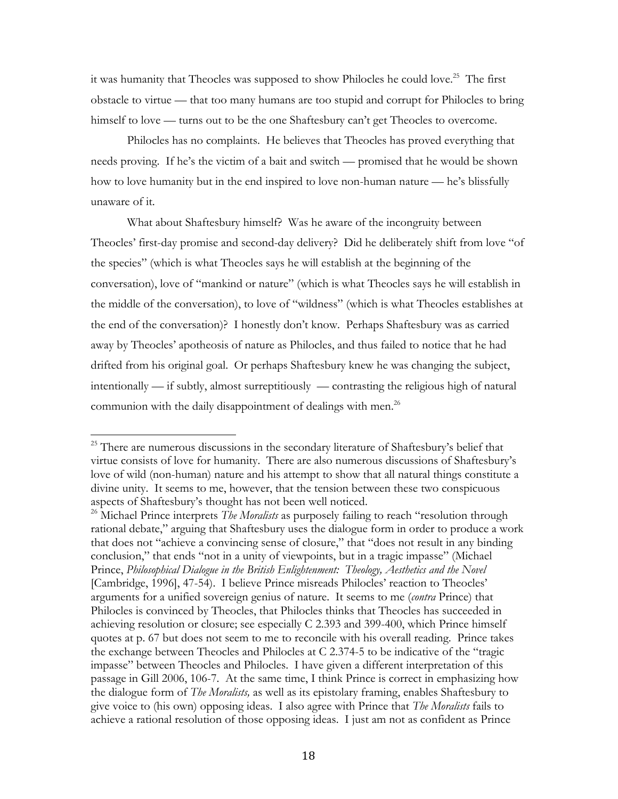it was humanity that Theocles was supposed to show Philocles he could love.<sup>25</sup> The first obstacle to virtue — that too many humans are too stupid and corrupt for Philocles to bring himself to love — turns out to be the one Shaftesbury can't get Theocles to overcome.

Philocles has no complaints. He believes that Theocles has proved everything that needs proving. If he's the victim of a bait and switch — promised that he would be shown how to love humanity but in the end inspired to love non-human nature — he's blissfully unaware of it.

What about Shaftesbury himself? Was he aware of the incongruity between Theocles' first-day promise and second-day delivery? Did he deliberately shift from love "of the species" (which is what Theocles says he will establish at the beginning of the conversation), love of "mankind or nature" (which is what Theocles says he will establish in the middle of the conversation), to love of "wildness" (which is what Theocles establishes at the end of the conversation)? I honestly don't know. Perhaps Shaftesbury was as carried away by Theocles' apotheosis of nature as Philocles, and thus failed to notice that he had drifted from his original goal. Or perhaps Shaftesbury knew he was changing the subject, intentionally — if subtly, almost surreptitiously — contrasting the religious high of natural communion with the daily disappointment of dealings with men.<sup>26</sup>

<sup>&</sup>lt;sup>25</sup> There are numerous discussions in the secondary literature of Shaftesbury's belief that virtue consists of love for humanity. There are also numerous discussions of Shaftesbury's love of wild (non-human) nature and his attempt to show that all natural things constitute a divine unity. It seems to me, however, that the tension between these two conspicuous aspects of Shaftesbury's thought has not been well noticed.

<sup>&</sup>lt;sup>26</sup> Michael Prince interprets *The Moralists* as purposely failing to reach "resolution through rational debate," arguing that Shaftesbury uses the dialogue form in order to produce a work that does not "achieve a convincing sense of closure," that "does not result in any binding conclusion," that ends "not in a unity of viewpoints, but in a tragic impasse" (Michael Prince, *Philosophical Dialogue in the British Enlightenment: Theology, Aesthetics and the Novel* [Cambridge, 1996], 47-54). I believe Prince misreads Philocles' reaction to Theocles' arguments for a unified sovereign genius of nature. It seems to me (*contra* Prince) that Philocles is convinced by Theocles, that Philocles thinks that Theocles has succeeded in achieving resolution or closure; see especially C 2.393 and 399-400, which Prince himself quotes at p. 67 but does not seem to me to reconcile with his overall reading. Prince takes the exchange between Theocles and Philocles at C 2.374-5 to be indicative of the "tragic impasse" between Theocles and Philocles. I have given a different interpretation of this passage in Gill 2006, 106-7. At the same time, I think Prince is correct in emphasizing how the dialogue form of *The Moralists,* as well as its epistolary framing, enables Shaftesbury to give voice to (his own) opposing ideas. I also agree with Prince that *The Moralists* fails to achieve a rational resolution of those opposing ideas. I just am not as confident as Prince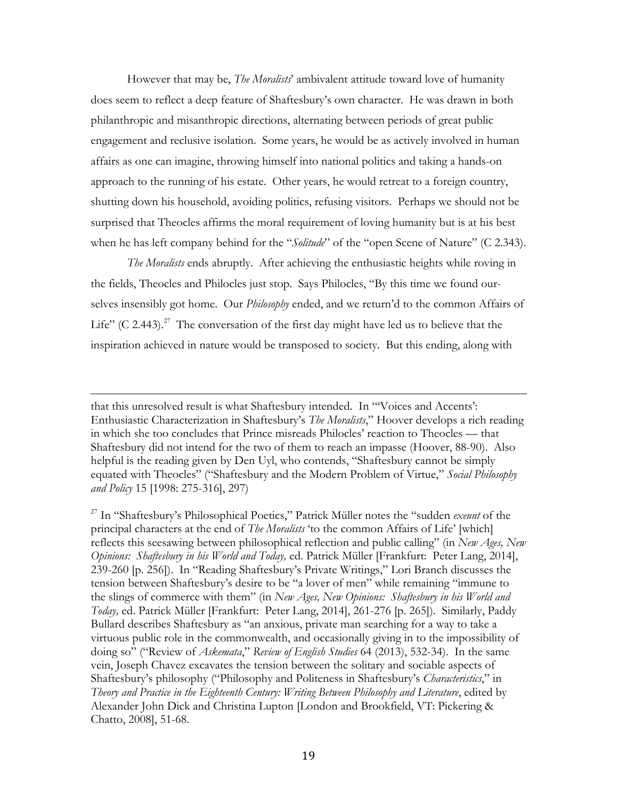However that may be, *The Moralists*' ambivalent attitude toward love of humanity does seem to reflect a deep feature of Shaftesbury's own character. He was drawn in both philanthropic and misanthropic directions, alternating between periods of great public engagement and reclusive isolation. Some years, he would be as actively involved in human affairs as one can imagine, throwing himself into national politics and taking a hands-on approach to the running of his estate. Other years, he would retreat to a foreign country, shutting down his household, avoiding politics, refusing visitors. Perhaps we should not be surprised that Theocles affirms the moral requirement of loving humanity but is at his best when he has left company behind for the "*Solitude*" of the "open Scene of Nature" (C 2.343).

*The Moralists* ends abruptly. After achieving the enthusiastic heights while roving in the fields, Theocles and Philocles just stop. Says Philocles, "By this time we found ourselves insensibly got home. Our *Philosophy* ended, and we return'd to the common Affairs of Life" (C 2.443).<sup>27</sup> The conversation of the first day might have led us to believe that the inspiration achieved in nature would be transposed to society. But this ending, along with

that this unresolved result is what Shaftesbury intended. In "'Voices and Accents': Enthusiastic Characterization in Shaftesbury's *The Moralists*," Hoover develops a rich reading in which she too concludes that Prince misreads Philocles' reaction to Theocles — that Shaftesbury did not intend for the two of them to reach an impasse (Hoover, 88-90). Also helpful is the reading given by Den Uyl, who contends, "Shaftesbury cannot be simply equated with Theocles" ("Shaftesbury and the Modern Problem of Virtue," *Social Philosophy and Policy* 15 [1998: 275-316], 297)

<u> 1989 - Andrea San Andrea San Andrea San Andrea San Andrea San Andrea San Andrea San Andrea San Andrea San An</u>

<sup>27</sup> In "Shaftesbury's Philosophical Poetics," Patrick Müller notes the "sudden *exeunt* of the principal characters at the end of *The Moralists* 'to the common Affairs of Life' [which] reflects this seesawing between philosophical reflection and public calling" (in *New Ages, New Opinions: Shaftesbury in his World and Today,* ed. Patrick Müller [Frankfurt: Peter Lang, 2014], 239-260 [p. 256]). In "Reading Shaftesbury's Private Writings," Lori Branch discusses the tension between Shaftesbury's desire to be "a lover of men" while remaining "immune to the slings of commerce with them" (in *New Ages, New Opinions: Shaftesbury in his World and Today,* ed. Patrick Müller [Frankfurt: Peter Lang, 2014], 261-276 [p. 265]). Similarly, Paddy Bullard describes Shaftesbury as "an anxious, private man searching for a way to take a virtuous public role in the commonwealth, and occasionally giving in to the impossibility of doing so" ("Review of *Askemata*," *Review of English Studies* 64 (2013), 532-34). In the same vein, Joseph Chavez excavates the tension between the solitary and sociable aspects of Shaftesbury's philosophy ("Philosophy and Politeness in Shaftesbury's *Characteristics*," in *Theory and Practice in the Eighteenth Century: Writing Between Philosophy and Literature*, edited by Alexander John Dick and Christina Lupton [London and Brookfield, VT: Pickering & Chatto, 2008], 51-68.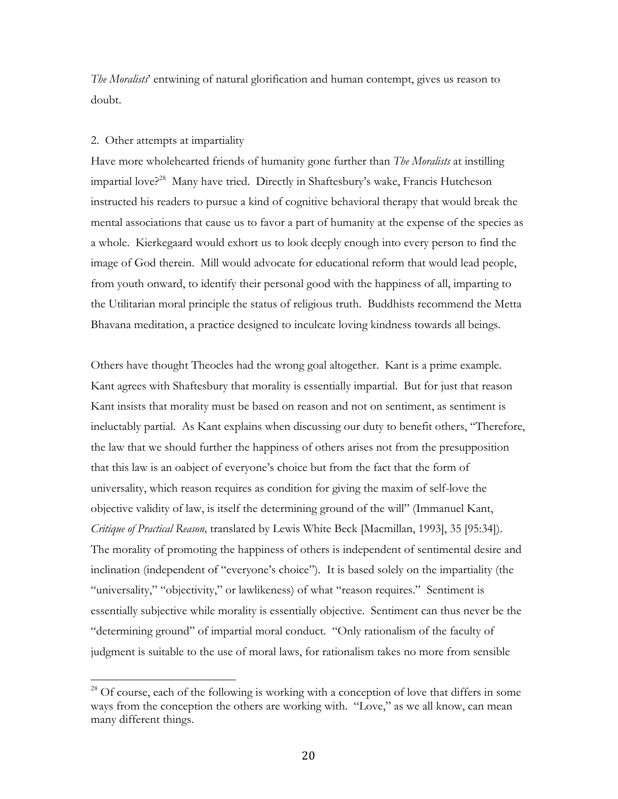*The Moralists*' entwining of natural glorification and human contempt, gives us reason to doubt.

## 2. Other attempts at impartiality

 

Have more wholehearted friends of humanity gone further than *The Moralists* at instilling impartial love?<sup>28</sup> Many have tried. Directly in Shaftesbury's wake, Francis Hutcheson instructed his readers to pursue a kind of cognitive behavioral therapy that would break the mental associations that cause us to favor a part of humanity at the expense of the species as a whole. Kierkegaard would exhort us to look deeply enough into every person to find the image of God therein. Mill would advocate for educational reform that would lead people, from youth onward, to identify their personal good with the happiness of all, imparting to the Utilitarian moral principle the status of religious truth. Buddhists recommend the Metta Bhavana meditation, a practice designed to inculcate loving kindness towards all beings.

Others have thought Theocles had the wrong goal altogether. Kant is a prime example. Kant agrees with Shaftesbury that morality is essentially impartial. But for just that reason Kant insists that morality must be based on reason and not on sentiment, as sentiment is ineluctably partial. As Kant explains when discussing our duty to benefit others, "Therefore, the law that we should further the happiness of others arises not from the presupposition that this law is an oabject of everyone's choice but from the fact that the form of universality, which reason requires as condition for giving the maxim of self-love the objective validity of law, is itself the determining ground of the will" (Immanuel Kant, *Critique of Practical Reason,* translated by Lewis White Beck [Macmillan, 1993], 35 [95:34]). The morality of promoting the happiness of others is independent of sentimental desire and inclination (independent of "everyone's choice"). It is based solely on the impartiality (the "universality," "objectivity," or lawlikeness) of what "reason requires." Sentiment is essentially subjective while morality is essentially objective. Sentiment can thus never be the "determining ground" of impartial moral conduct. "Only rationalism of the faculty of judgment is suitable to the use of moral laws, for rationalism takes no more from sensible

<sup>&</sup>lt;sup>28</sup> Of course, each of the following is working with a conception of love that differs in some ways from the conception the others are working with. "Love," as we all know, can mean many different things.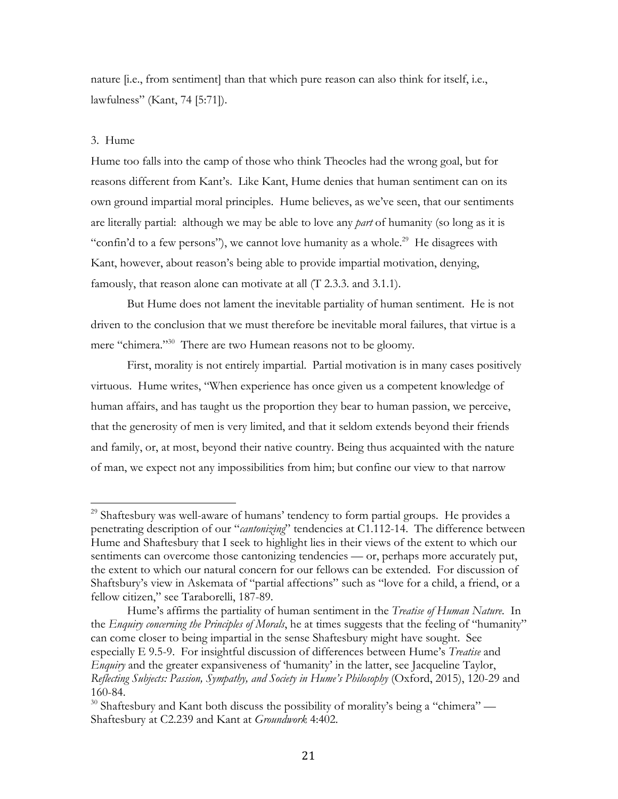nature [i.e., from sentiment] than that which pure reason can also think for itself, i.e., lawfulness" (Kant, 74 [5:71]).

## 3. Hume

 

Hume too falls into the camp of those who think Theocles had the wrong goal, but for reasons different from Kant's. Like Kant, Hume denies that human sentiment can on its own ground impartial moral principles. Hume believes, as we've seen, that our sentiments are literally partial: although we may be able to love any *part* of humanity (so long as it is "confin'd to a few persons"), we cannot love humanity as a whole.<sup>29</sup> He disagrees with Kant, however, about reason's being able to provide impartial motivation, denying, famously, that reason alone can motivate at all (T 2.3.3. and 3.1.1).

But Hume does not lament the inevitable partiality of human sentiment. He is not driven to the conclusion that we must therefore be inevitable moral failures, that virtue is a mere "chimera."<sup>30</sup> There are two Humean reasons not to be gloomy.

First, morality is not entirely impartial. Partial motivation is in many cases positively virtuous. Hume writes, "When experience has once given us a competent knowledge of human affairs, and has taught us the proportion they bear to human passion, we perceive, that the generosity of men is very limited, and that it seldom extends beyond their friends and family, or, at most, beyond their native country. Being thus acquainted with the nature of man, we expect not any impossibilities from him; but confine our view to that narrow

<sup>&</sup>lt;sup>29</sup> Shaftesbury was well-aware of humans' tendency to form partial groups. He provides a penetrating description of our "*cantonizing*" tendencies at C1.112-14. The difference between Hume and Shaftesbury that I seek to highlight lies in their views of the extent to which our sentiments can overcome those cantonizing tendencies — or, perhaps more accurately put, the extent to which our natural concern for our fellows can be extended. For discussion of Shaftsbury's view in Askemata of "partial affections" such as "love for a child, a friend, or a fellow citizen," see Taraborelli, 187-89.

Hume's affirms the partiality of human sentiment in the *Treatise of Human Nature*. In the *Enquiry concerning the Principles of Morals*, he at times suggests that the feeling of "humanity" can come closer to being impartial in the sense Shaftesbury might have sought. See especially E 9.5-9. For insightful discussion of differences between Hume's *Treatise* and *Enquiry* and the greater expansiveness of 'humanity' in the latter, see Jacqueline Taylor, *Reflecting Subjects: Passion, Sympathy, and Society in Hume's Philosophy* (Oxford, 2015), 120-29 and 160-84.

 $30$  Shaftesbury and Kant both discuss the possibility of morality's being a "chimera" — Shaftesbury at C2.239 and Kant at *Groundwork* 4:402.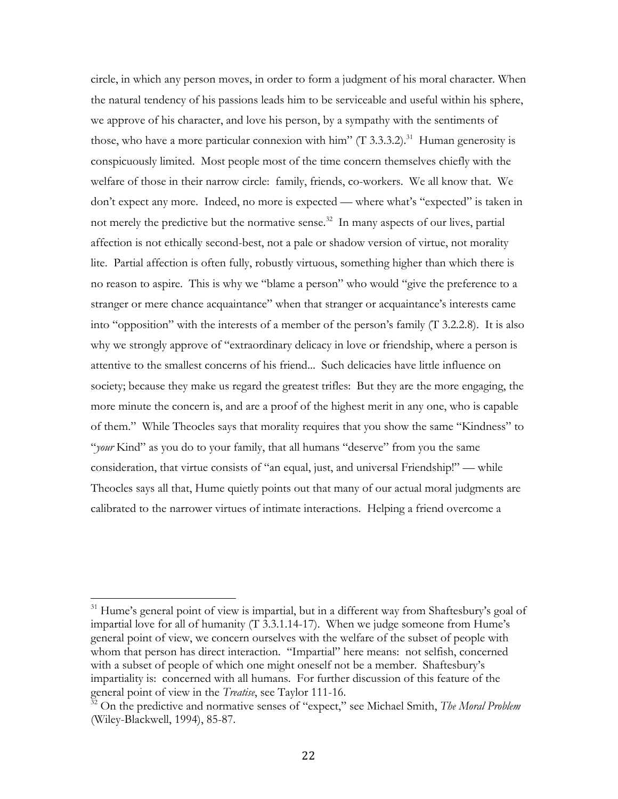circle, in which any person moves, in order to form a judgment of his moral character. When the natural tendency of his passions leads him to be serviceable and useful within his sphere, we approve of his character, and love his person, by a sympathy with the sentiments of those, who have a more particular connexion with him" (T 3.3.3.2).<sup>31</sup> Human generosity is conspicuously limited. Most people most of the time concern themselves chiefly with the welfare of those in their narrow circle: family, friends, co-workers. We all know that. We don't expect any more. Indeed, no more is expected — where what's "expected" is taken in not merely the predictive but the normative sense.<sup>32</sup> In many aspects of our lives, partial affection is not ethically second-best, not a pale or shadow version of virtue, not morality lite. Partial affection is often fully, robustly virtuous, something higher than which there is no reason to aspire. This is why we "blame a person" who would "give the preference to a stranger or mere chance acquaintance" when that stranger or acquaintance's interests came into "opposition" with the interests of a member of the person's family (T 3.2.2.8). It is also why we strongly approve of "extraordinary delicacy in love or friendship, where a person is attentive to the smallest concerns of his friend... Such delicacies have little influence on society; because they make us regard the greatest trifles: But they are the more engaging, the more minute the concern is, and are a proof of the highest merit in any one, who is capable of them." While Theocles says that morality requires that you show the same "Kindness" to "*your* Kind" as you do to your family, that all humans "deserve" from you the same consideration, that virtue consists of "an equal, just, and universal Friendship!" — while Theocles says all that, Hume quietly points out that many of our actual moral judgments are calibrated to the narrower virtues of intimate interactions. Helping a friend overcome a

 $31$  Hume's general point of view is impartial, but in a different way from Shaftesbury's goal of impartial love for all of humanity (T 3.3.1.14-17). When we judge someone from Hume's general point of view, we concern ourselves with the welfare of the subset of people with whom that person has direct interaction. "Impartial" here means: not selfish, concerned with a subset of people of which one might oneself not be a member. Shaftesbury's impartiality is: concerned with all humans. For further discussion of this feature of the general point of view in the *Treatise*, see Taylor 111-16.

<sup>&</sup>lt;sup>32</sup> On the predictive and normative senses of "expect," see Michael Smith, *The Moral Problem* (Wiley-Blackwell, 1994), 85-87.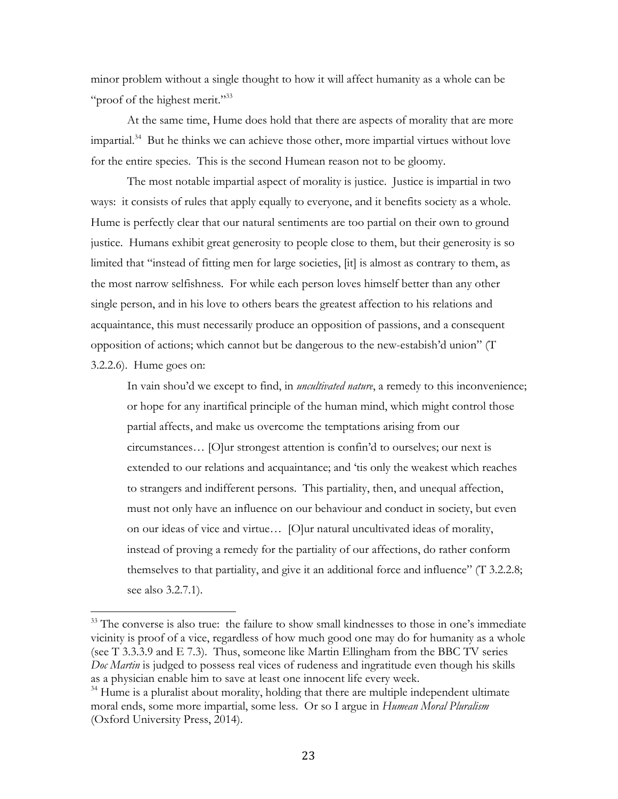minor problem without a single thought to how it will affect humanity as a whole can be "proof of the highest merit."<sup>33</sup>

At the same time, Hume does hold that there are aspects of morality that are more  $impartial.<sup>34</sup>$  But he thinks we can achieve those other, more impartial virtues without love for the entire species. This is the second Humean reason not to be gloomy.

The most notable impartial aspect of morality is justice. Justice is impartial in two ways: it consists of rules that apply equally to everyone, and it benefits society as a whole. Hume is perfectly clear that our natural sentiments are too partial on their own to ground justice. Humans exhibit great generosity to people close to them, but their generosity is so limited that "instead of fitting men for large societies, [it] is almost as contrary to them, as the most narrow selfishness. For while each person loves himself better than any other single person, and in his love to others bears the greatest affection to his relations and acquaintance, this must necessarily produce an opposition of passions, and a consequent opposition of actions; which cannot but be dangerous to the new-estabish'd union" (T 3.2.2.6). Hume goes on:

In vain shou'd we except to find, in *uncultivated nature*, a remedy to this inconvenience; or hope for any inartifical principle of the human mind, which might control those partial affects, and make us overcome the temptations arising from our circumstances… [O]ur strongest attention is confin'd to ourselves; our next is extended to our relations and acquaintance; and 'tis only the weakest which reaches to strangers and indifferent persons. This partiality, then, and unequal affection, must not only have an influence on our behaviour and conduct in society, but even on our ideas of vice and virtue… [O]ur natural uncultivated ideas of morality, instead of proving a remedy for the partiality of our affections, do rather conform themselves to that partiality, and give it an additional force and influence" (T 3.2.2.8; see also 3.2.7.1).

<sup>&</sup>lt;sup>33</sup> The converse is also true: the failure to show small kindnesses to those in one's immediate vicinity is proof of a vice, regardless of how much good one may do for humanity as a whole (see T 3.3.3.9 and E 7.3). Thus, someone like Martin Ellingham from the BBC TV series *Doc Martin* is judged to possess real vices of rudeness and ingratitude even though his skills as a physician enable him to save at least one innocent life every week.

<sup>&</sup>lt;sup>34</sup> Hume is a pluralist about morality, holding that there are multiple independent ultimate moral ends, some more impartial, some less. Or so I argue in *Humean Moral Pluralism* (Oxford University Press, 2014).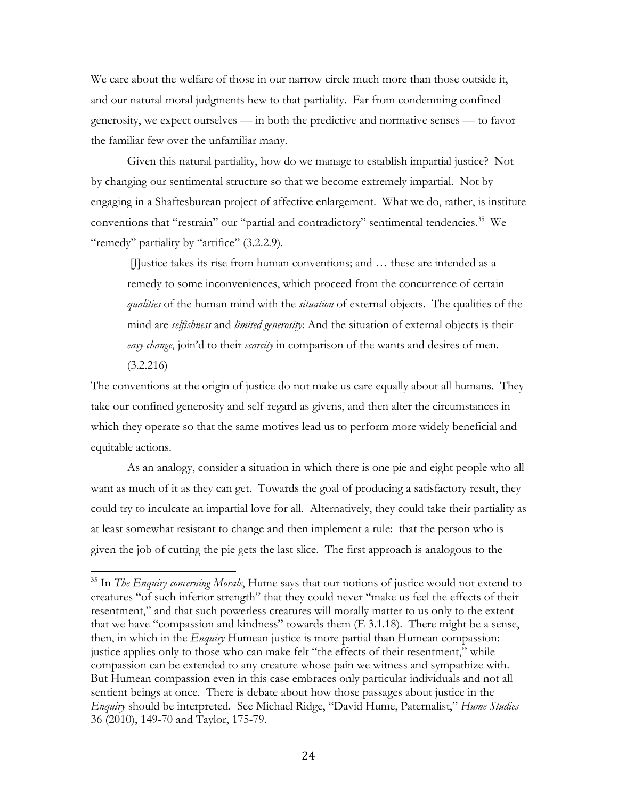We care about the welfare of those in our narrow circle much more than those outside it, and our natural moral judgments hew to that partiality. Far from condemning confined generosity, we expect ourselves — in both the predictive and normative senses — to favor the familiar few over the unfamiliar many.

Given this natural partiality, how do we manage to establish impartial justice? Not by changing our sentimental structure so that we become extremely impartial. Not by engaging in a Shaftesburean project of affective enlargement. What we do, rather, is institute conventions that "restrain" our "partial and contradictory" sentimental tendencies.<sup>35</sup> We "remedy" partiality by "artifice" (3.2.2.9).

[J]ustice takes its rise from human conventions; and … these are intended as a remedy to some inconveniences, which proceed from the concurrence of certain *qualities* of the human mind with the *situation* of external objects. The qualities of the mind are *selfishness* and *limited generosity*: And the situation of external objects is their *easy change*, join'd to their *scarcity* in comparison of the wants and desires of men. (3.2.216)

The conventions at the origin of justice do not make us care equally about all humans. They take our confined generosity and self-regard as givens, and then alter the circumstances in which they operate so that the same motives lead us to perform more widely beneficial and equitable actions.

As an analogy, consider a situation in which there is one pie and eight people who all want as much of it as they can get. Towards the goal of producing a satisfactory result, they could try to inculcate an impartial love for all. Alternatively, they could take their partiality as at least somewhat resistant to change and then implement a rule: that the person who is given the job of cutting the pie gets the last slice. The first approach is analogous to the

<sup>35</sup> In *The Enquiry concerning Morals*, Hume says that our notions of justice would not extend to creatures "of such inferior strength" that they could never "make us feel the effects of their resentment," and that such powerless creatures will morally matter to us only to the extent that we have "compassion and kindness" towards them (E 3.1.18). There might be a sense, then, in which in the *Enquiry* Humean justice is more partial than Humean compassion: justice applies only to those who can make felt "the effects of their resentment," while compassion can be extended to any creature whose pain we witness and sympathize with. But Humean compassion even in this case embraces only particular individuals and not all sentient beings at once. There is debate about how those passages about justice in the *Enquiry* should be interpreted. See Michael Ridge, "David Hume, Paternalist," *Hume Studies* 36 (2010), 149-70 and Taylor, 175-79.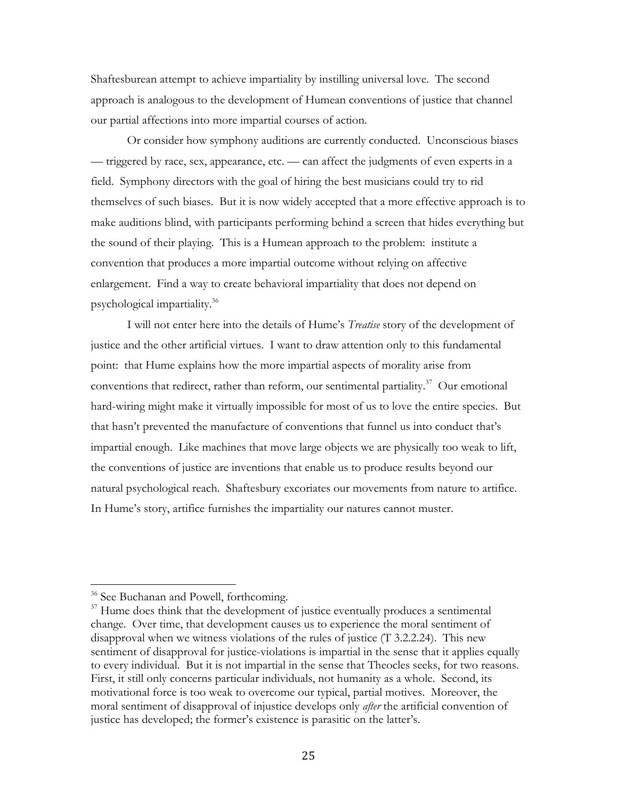Shaftesburean attempt to achieve impartiality by instilling universal love. The second approach is analogous to the development of Humean conventions of justice that channel our partial affections into more impartial courses of action.

Or consider how symphony auditions are currently conducted. Unconscious biases — triggered by race, sex, appearance, etc. — can affect the judgments of even experts in a field. Symphony directors with the goal of hiring the best musicians could try to rid themselves of such biases. But it is now widely accepted that a more effective approach is to make auditions blind, with participants performing behind a screen that hides everything but the sound of their playing. This is a Humean approach to the problem: institute a convention that produces a more impartial outcome without relying on affective enlargement. Find a way to create behavioral impartiality that does not depend on psychological impartiality.36

I will not enter here into the details of Hume's *Treatise* story of the development of justice and the other artificial virtues. I want to draw attention only to this fundamental point: that Hume explains how the more impartial aspects of morality arise from conventions that redirect, rather than reform, our sentimental partiality. $37$  Our emotional hard-wiring might make it virtually impossible for most of us to love the entire species. But that hasn't prevented the manufacture of conventions that funnel us into conduct that's impartial enough. Like machines that move large objects we are physically too weak to lift, the conventions of justice are inventions that enable us to produce results beyond our natural psychological reach. Shaftesbury excoriates our movements from nature to artifice. In Hume's story, artifice furnishes the impartiality our natures cannot muster.

<sup>&</sup>lt;sup>36</sup> See Buchanan and Powell, forthcoming.

 $37$  Hume does think that the development of justice eventually produces a sentimental change. Over time, that development causes us to experience the moral sentiment of disapproval when we witness violations of the rules of justice (T 3.2.2.24). This new sentiment of disapproval for justice-violations is impartial in the sense that it applies equally to every individual. But it is not impartial in the sense that Theocles seeks, for two reasons. First, it still only concerns particular individuals, not humanity as a whole. Second, its motivational force is too weak to overcome our typical, partial motives. Moreover, the moral sentiment of disapproval of injustice develops only *after* the artificial convention of justice has developed; the former's existence is parasitic on the latter's.